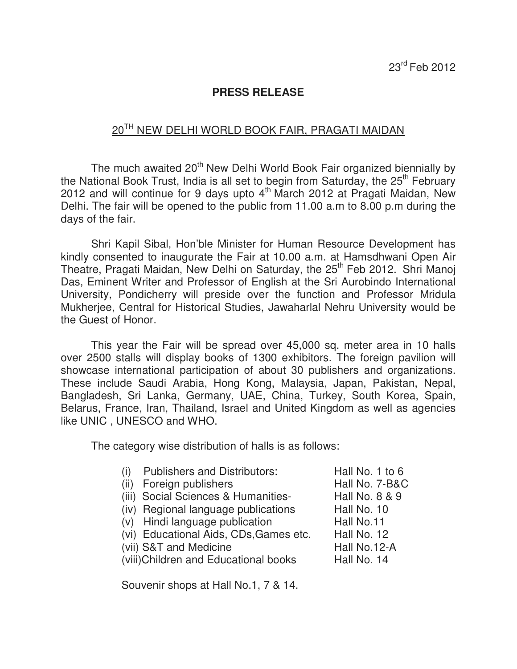## **PRESS RELEASE**

## 20TH NEW DELHI WORLD BOOK FAIR, PRAGATI MAIDAN

The much awaited 20<sup>th</sup> New Delhi World Book Fair organized biennially by the National Book Trust, India is all set to begin from Saturday, the  $25<sup>th</sup>$  February 2012 and will continue for 9 days upto  $4<sup>th</sup>$  March 2012 at Pragati Maidan, New Delhi. The fair will be opened to the public from 11.00 a.m to 8.00 p.m during the days of the fair.

Shri Kapil Sibal, Hon'ble Minister for Human Resource Development has kindly consented to inaugurate the Fair at 10.00 a.m. at Hamsdhwani Open Air Theatre, Pragati Maidan, New Delhi on Saturday, the 25<sup>th</sup> Feb 2012. Shri Manoj Das, Eminent Writer and Professor of English at the Sri Aurobindo International University, Pondicherry will preside over the function and Professor Mridula Mukherjee, Central for Historical Studies, Jawaharlal Nehru University would be the Guest of Honor.

This year the Fair will be spread over 45,000 sq. meter area in 10 halls over 2500 stalls will display books of 1300 exhibitors. The foreign pavilion will showcase international participation of about 30 publishers and organizations. These include Saudi Arabia, Hong Kong, Malaysia, Japan, Pakistan, Nepal, Bangladesh, Sri Lanka, Germany, UAE, China, Turkey, South Korea, Spain, Belarus, France, Iran, Thailand, Israel and United Kingdom as well as agencies like UNIC , UNESCO and WHO.

The category wise distribution of halls is as follows:

| <b>Publishers and Distributors:</b>    | Hall No. 1 to 6 |
|----------------------------------------|-----------------|
| Foreign publishers<br>(ii)             | Hall No. 7-B&C  |
| (iii) Social Sciences & Humanities-    | Hall No. 8 & 9  |
| (iv) Regional language publications    | Hall No. 10     |
| (v) Hindi language publication         | Hall No.11      |
| (vi) Educational Aids, CDs, Games etc. | Hall No. 12     |
| (vii) S&T and Medicine                 | Hall No.12-A    |
| (viii) Children and Educational books  | Hall No. 14     |
|                                        |                 |
| Souvenir shops at Hall No.1, 7 & 14.   |                 |